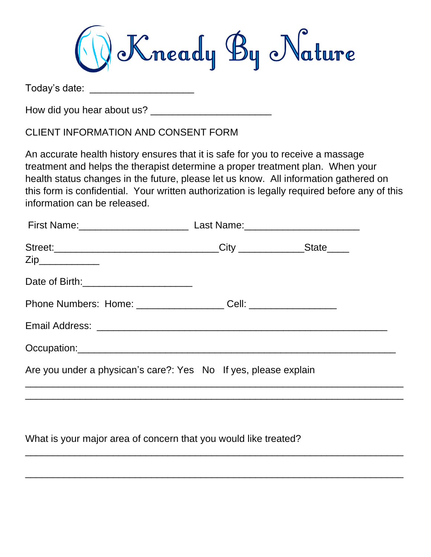

Today's date: \_\_\_\_\_\_\_\_\_\_\_\_\_\_\_\_\_\_\_

How did you hear about us? \_\_\_\_\_\_\_\_\_\_\_\_\_\_\_\_\_\_\_\_\_\_

CLIENT INFORMATION AND CONSENT FORM

An accurate health history ensures that it is safe for you to receive a massage treatment and helps the therapist determine a proper treatment plan. When your health status changes in the future, please let us know. All information gathered on this form is confidential. Your written authorization is legally required before any of this information can be released.

| Date of Birth: _________________________                                         |  |  |
|----------------------------------------------------------------------------------|--|--|
| Phone Numbers: Home: _______________________ Cell: _____________________________ |  |  |
|                                                                                  |  |  |
|                                                                                  |  |  |
| Are you under a physican's care?: Yes No If yes, please explain                  |  |  |
|                                                                                  |  |  |

\_\_\_\_\_\_\_\_\_\_\_\_\_\_\_\_\_\_\_\_\_\_\_\_\_\_\_\_\_\_\_\_\_\_\_\_\_\_\_\_\_\_\_\_\_\_\_\_\_\_\_\_\_\_\_\_\_\_\_\_\_\_\_\_\_\_\_\_\_

\_\_\_\_\_\_\_\_\_\_\_\_\_\_\_\_\_\_\_\_\_\_\_\_\_\_\_\_\_\_\_\_\_\_\_\_\_\_\_\_\_\_\_\_\_\_\_\_\_\_\_\_\_\_\_\_\_\_\_\_\_\_\_\_\_\_\_\_\_

What is your major area of concern that you would like treated?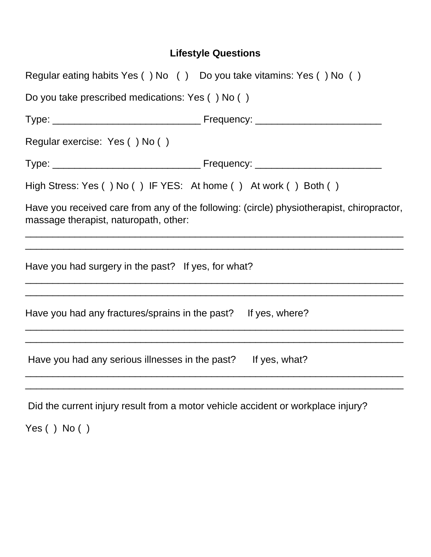## **Lifestyle Questions**

|                                                                | Regular eating habits Yes () No () Do you take vitamins: Yes () No ()                     |
|----------------------------------------------------------------|-------------------------------------------------------------------------------------------|
| Do you take prescribed medications: Yes () No ()               |                                                                                           |
|                                                                |                                                                                           |
| Regular exercise: Yes () No ()                                 |                                                                                           |
|                                                                |                                                                                           |
|                                                                | High Stress: Yes () No () IF YES: At home () At work () Both ()                           |
| massage therapist, naturopath, other:                          | Have you received care from any of the following: (circle) physiotherapist, chiropractor, |
| Have you had surgery in the past? If yes, for what?            |                                                                                           |
| Have you had any fractures/sprains in the past? If yes, where? |                                                                                           |
| Have you had any serious illnesses in the past? If yes, what?  |                                                                                           |
|                                                                |                                                                                           |

Did the current injury result from a motor vehicle accident or workplace injury?

Yes ( ) No ( )